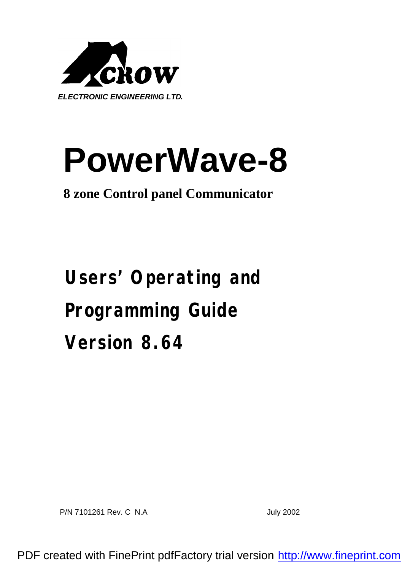

# **PowerWave-8**

# **8 zone Control panel Communicator**

**Users' Operating and Programming Guide Version 8.64**

P/N 7101261 Rev. C N.A July 2002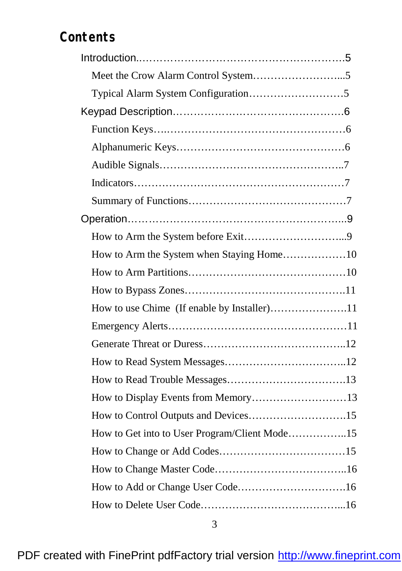# **Contents**

| How to use Chime (If enable by Installer)11   |  |
|-----------------------------------------------|--|
|                                               |  |
|                                               |  |
|                                               |  |
|                                               |  |
| How to Display Events from Memory13           |  |
|                                               |  |
| How to Get into to User Program/Client Mode15 |  |
|                                               |  |
|                                               |  |
|                                               |  |
|                                               |  |
|                                               |  |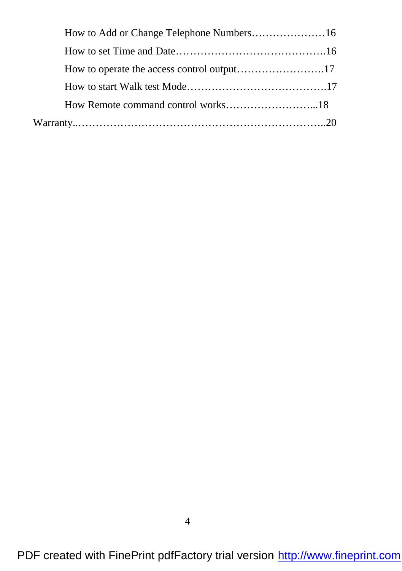PDF created with FinePrint pdfFactory trial version <http://www.fineprint.com>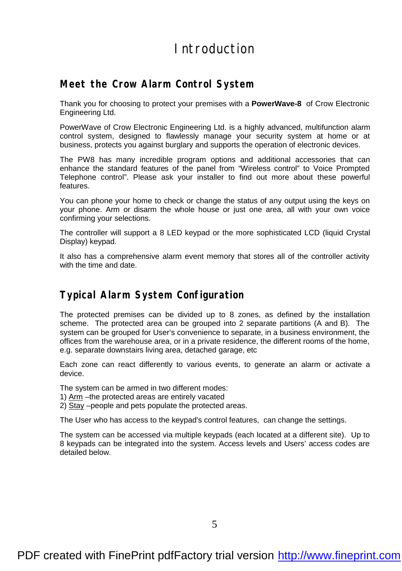# Introduction

#### **Meet the Crow Alarm Control System**

Thank you for choosing to protect your premises with a **PowerWave-8** of Crow Electronic Engineering Ltd.

PowerWave of Crow Electronic Engineering Ltd. is a highly advanced, multifunction alarm control system, designed to flawlessly manage your security system at home or at business, protects you against burglary and supports the operation of electronic devices.

The PW8 has many incredible program options and additional accessories that can enhance the standard features of the panel from "Wireless control" to Voice Prompted Telephone control". Please ask your installer to find out more about these powerful features.

You can phone your home to check or change the status of any output using the keys on your phone. Arm or disarm the whole house or just one area, all with your own voice confirming your selections.

The controller will support a 8 LED keypad or the more sophisticated LCD (liquid Crystal Display) keypad.

It also has a comprehensive alarm event memory that stores all of the controller activity with the time and date

## **Typical Alarm System Configuration**

The protected premises can be divided up to 8 zones, as defined by the installation scheme. The protected area can be grouped into 2 separate partitions (A and B). The system can be grouped for User's convenience to separate, in a business environment, the offices from the warehouse area, or in a private residence, the different rooms of the home, e.g. separate downstairs living area, detached garage, etc

Each zone can react differently to various events, to generate an alarm or activate a device.

The system can be armed in two different modes:

- 1) Arm –the protected areas are entirely vacated
- 2) Stay –people and pets populate the protected areas.

The User who has access to the keypad's control features, can change the settings.

The system can be accessed via multiple keypads (each located at a different site). Up to 8 keypads can be integrated into the system. Access levels and Users' access codes are detailed below.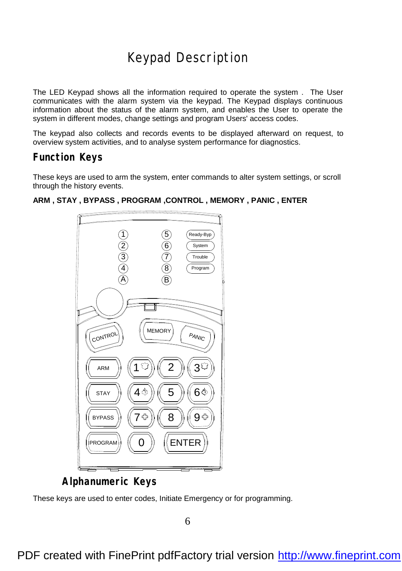# Keypad Description

The LED Keypad shows all the information required to operate the system . The User communicates with the alarm system via the keypad. The Keypad displays continuous information about the status of the alarm system, and enables the User to operate the system in different modes, change settings and program Users' access codes.

The keypad also collects and records events to be displayed afterward on request, to overview system activities, and to analyse system performance for diagnostics.

#### **Function Keys**

These keys are used to arm the system, enter commands to alter system settings, or scroll through the history events.



#### **ARM , STAY , BYPASS , PROGRAM ,CONTROL , MEMORY , PANIC , ENTER**

**Alphanumeric Keys**

These keys are used to enter codes, Initiate Emergency or for programming.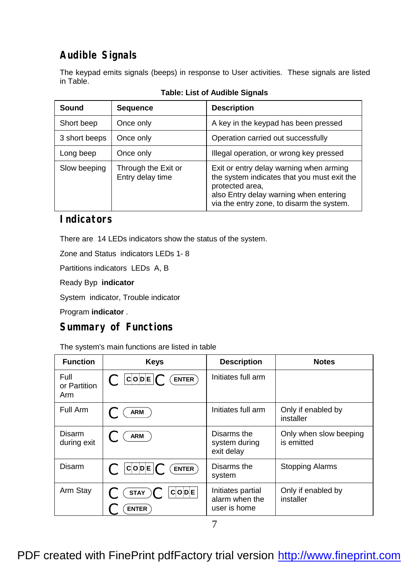# **Audible Signals**

The keypad emits signals (beeps) in response to User activities. These signals are listed in Table.

| Sound         | <b>Sequence</b>                         | <b>Description</b>                                                                                                                                                                               |
|---------------|-----------------------------------------|--------------------------------------------------------------------------------------------------------------------------------------------------------------------------------------------------|
| Short beep    | Once only                               | A key in the keypad has been pressed                                                                                                                                                             |
| 3 short beeps | Once only                               | Operation carried out successfully                                                                                                                                                               |
| Long beep     | Once only                               | Illegal operation, or wrong key pressed                                                                                                                                                          |
| Slow beeping  | Through the Exit or<br>Entry delay time | Exit or entry delay warning when arming<br>the system indicates that you must exit the<br>protected area,<br>also Entry delay warning when entering<br>via the entry zone, to disarm the system. |

## **Indicators**

There are 14 LEDs indicators show the status of the system.

Zone and Status indicators LEDs 1- 8

Partitions indicators LEDs A, B

Ready Byp **indicator**

System indicator, Trouble indicator

Program **indicator** .

## **Summary of Functions**

The system's main functions are listed in table

| <b>Function</b>             | <b>Keys</b>                                          | <b>Description</b>                                  | <b>Notes</b>                         |
|-----------------------------|------------------------------------------------------|-----------------------------------------------------|--------------------------------------|
| Full<br>or Partition<br>Arm | $ {\tt C} \circ {\tt DE} $ $\bigcap$<br><b>ENTER</b> | Initiates full arm                                  |                                      |
| Full Arm                    | <b>ARM</b>                                           | Initiates full arm                                  | Only if enabled by<br>installer      |
| Disarm<br>during exit       | <b>ARM</b>                                           | Disarms the<br>system during<br>exit delay          | Only when slow beeping<br>is emitted |
| Disarm                      | COPE<br>$ENTER$ )                                    | Disarms the<br>system                               | <b>Stopping Alarms</b>               |
| Arm Stay                    | $C$ O D E $ $<br><b>STAY</b><br><b>ENTER</b>         | Initiates partial<br>alarm when the<br>user is home | Only if enabled by<br>installer      |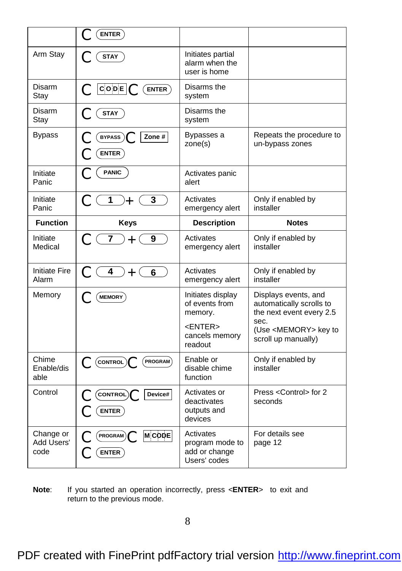|                               | ENTER                                                    |                                                       |                                                               |
|-------------------------------|----------------------------------------------------------|-------------------------------------------------------|---------------------------------------------------------------|
| Arm Stay                      | <b>STAY</b>                                              | Initiates partial<br>alarm when the<br>user is home   |                                                               |
| Disarm<br>Stay                | $\mathbf C$ CODE $\mathbf C$ (ENTER)                     | Disarms the<br>system                                 |                                                               |
| <b>Disarm</b><br>Stay         | <b>STAY</b>                                              | Disarms the<br>system                                 |                                                               |
| <b>Bypass</b>                 | Zone #<br>BYPASS)<br><b>ENTER</b>                        | Bypasses a<br>zone(s)                                 | Repeats the procedure to<br>un-bypass zones                   |
| Initiate<br>Panic             | <b>PANIC</b>                                             | Activates panic<br>alert                              |                                                               |
| Initiate<br>Panic             | $\overline{1}$<br>3<br>)—⊢                               | Activates<br>emergency alert                          | Only if enabled by<br>installer                               |
| <b>Function</b>               | <b>Keys</b>                                              | <b>Description</b>                                    | <b>Notes</b>                                                  |
| Initiate<br>Medical           | C(7)<br>9<br>$+$                                         | Activates<br>emergency alert                          | Only if enabled by<br>installer                               |
| <b>Initiate Fire</b><br>Alarm | $\overline{4}$<br>$+$ (<br>6                             | Activates<br>emergency alert                          | Only if enabled by<br>installer                               |
| Memory                        | MEMORY                                                   | Initiates display                                     | Displays events, and                                          |
|                               |                                                          | of events from<br>memory.                             | automatically scrolls to<br>the next event every 2.5          |
|                               |                                                          | <enter><br/>cancels memory<br/>readout</enter>        | sec.<br>(Use <memory> key to<br/>scroll up manually)</memory> |
| Chime<br>Enable/dis<br>able   | CONTROL<br><b>PROGRAM</b>                                | Enable or<br>disable chime<br>function                | Only if enabled by<br>installer                               |
| Control                       | $\left(\text{CONTROL}\right)$<br>Device#<br><b>ENTER</b> | Activates or<br>deactivates<br>outputs and<br>devices | Press < Control> for 2<br>seconds                             |

**Note**: If you started an operation incorrectly, press <**ENTER**> to exit and return to the previous mode.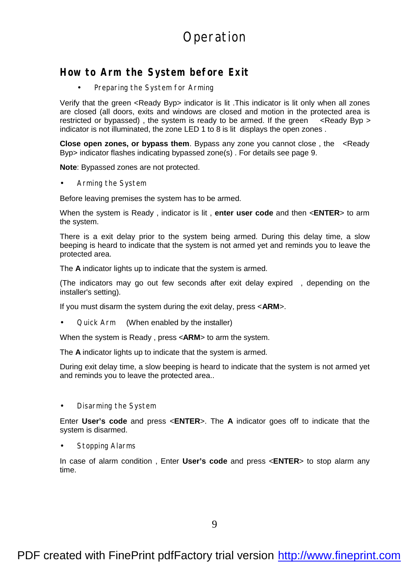# Operation

#### **How to Arm the System before Exit**

Preparing the System for Arming

Verify that the green <Ready Byp> indicator is lit .This indicator is lit only when all zones are closed (all doors, exits and windows are closed and motion in the protected area is restricted or bypassed), the system is ready to be armed. If the green  $\lt$ Ready Byp > indicator is not illuminated, the zone LED 1 to 8 is lit displays the open zones .

**Close open zones, or bypass them**. Bypass any zone you cannot close , the <Ready Byp> indicator flashes indicating bypassed zone(s) . For details see page 9.

**Note**: Bypassed zones are not protected.

• Arming the System

Before leaving premises the system has to be armed.

When the system is Ready , indicator is lit , **enter user code** and then <**ENTER**> to arm the system.

There is a exit delay prior to the system being armed. During this delay time, a slow beeping is heard to indicate that the system is not armed yet and reminds you to leave the protected area.

The **A** indicator lights up to indicate that the system is armed.

(The indicators may go out few seconds after exit delay expired , depending on the installer's setting).

If you must disarm the system during the exit delay, press <**ARM**>.

• Quick Arm(When enabled by the installer)

When the system is Ready , press <**ARM**> to arm the system.

The **A** indicator lights up to indicate that the system is armed.

During exit delay time, a slow beeping is heard to indicate that the system is not armed yet and reminds you to leave the protected area..

• Disarming the System

Enter **User's code** and press <**ENTER**>. The **A** indicator goes off to indicate that the system is disarmed.

Stopping Alarms

In case of alarm condition , Enter **User's code** and press <**ENTER**> to stop alarm any time.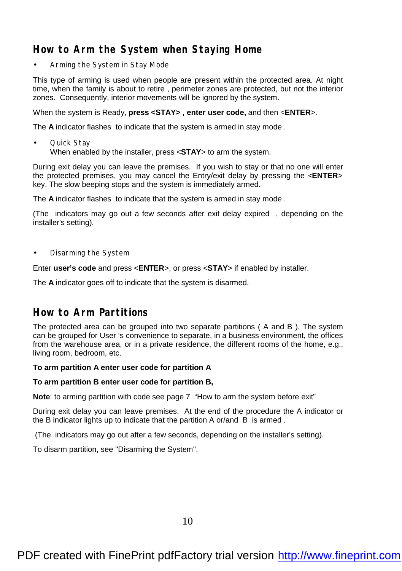# **How to Arm the System when Staying Home**

• Arming the System in Stay Mode

This type of arming is used when people are present within the protected area. At night time, when the family is about to retire , perimeter zones are protected, but not the interior zones. Consequently, interior movements will be ignored by the system.

When the system is Ready, **press <STAY>** , **enter user code,** and then <**ENTER**>.

The **A** indicator flashes to indicate that the system is armed in stay mode .

• Quick Stay When enabled by the installer, press <**STAY**> to arm the system.

During exit delay you can leave the premises. If you wish to stay or that no one will enter the protected premises, you may cancel the Entry/exit delay by pressing the <**ENTER**> key. The slow beeping stops and the system is immediately armed.

The **A** indicator flashes to indicate that the system is armed in stay mode .

(The indicators may go out a few seconds after exit delay expired , depending on the installer's setting).

• Disarming the System

Enter **user's code** and press <**ENTER**>, or press <**STAY**> if enabled by installer.

The **A** indicator goes off to indicate that the system is disarmed.

#### **How to Arm Partitions**

The protected area can be grouped into two separate partitions ( A and B ). The system can be grouped for User 's convenience to separate, in a business environment, the offices from the warehouse area, or in a private residence, the different rooms of the home, e.g., living room, bedroom, etc.

#### **To arm partition A enter user code for partition A**

#### **To arm partition B enter user code for partition B,**

**Note**: to arming partition with code see page 7 "How to arm the system before exit"

During exit delay you can leave premises. At the end of the procedure the A indicator or the B indicator lights up to indicate that the partition A or/and B is armed .

(The indicators may go out after a few seconds, depending on the installer's setting).

To disarm partition, see "Disarming the System".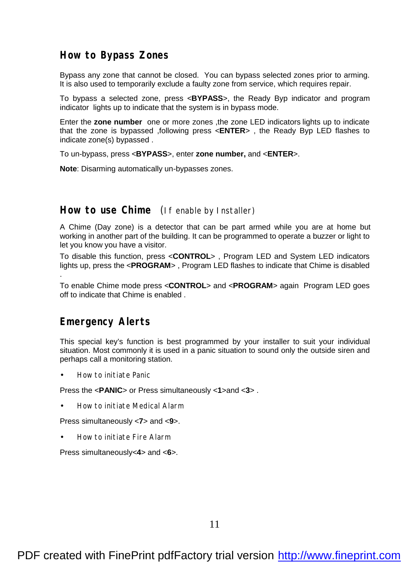#### **How to Bypass Zones**

Bypass any zone that cannot be closed. You can bypass selected zones prior to arming. It is also used to temporarily exclude a faulty zone from service, which requires repair.

To bypass a selected zone, press <**BYPASS**>, the Ready Byp indicator and program indicator lights up to indicate that the system is in bypass mode.

Enter the **zone number** one or more zones ,the zone LED indicators lights up to indicate that the zone is bypassed ,following press <**ENTER**> , the Ready Byp LED flashes to indicate zone(s) bypassed .

To un-bypass, press <**BYPASS**>, enter **zone number,** and <**ENTER**>.

**Note**: Disarming automatically un-bypasses zones.

#### **How to use Chime** (If enable by Installer)

A Chime (Day zone) is a detector that can be part armed while you are at home but working in another part of the building. It can be programmed to operate a buzzer or light to let you know you have a visitor.

To disable this function, press <**CONTROL**> , Program LED and System LED indicators lights up, press the <**PROGRAM**> , Program LED flashes to indicate that Chime is disabled .

To enable Chime mode press <**CONTROL**> and <**PROGRAM**> again Program LED goes off to indicate that Chime is enabled .

#### **Emergency Alerts**

This special key's function is best programmed by your installer to suit your individual situation. Most commonly it is used in a panic situation to sound only the outside siren and perhaps call a monitoring station.

• How to initiate Panic

Press the <**PANIC**> or Press simultaneously <1>and <3>.

• How to initiate Medical Alarm

Press simultaneously <**7**> and <**9**>.

• How to initiate Fire Alarm

Press simultaneously<**4**> and <**6**>.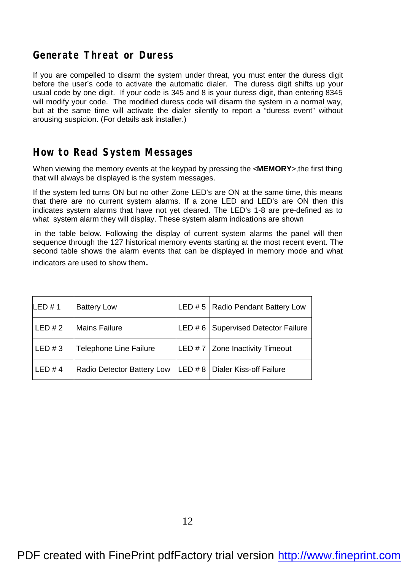#### **Generate Threat or Duress**

If you are compelled to disarm the system under threat, you must enter the duress digit before the user's code to activate the automatic dialer. The duress digit shifts up your usual code by one digit. If your code is 345 and 8 is your duress digit, than entering 8345 will modify your code. The modified duress code will disarm the system in a normal way, but at the same time will activate the dialer silently to report a "duress event" without arousing suspicion. (For details ask installer.)

## **How to Read System Messages**

When viewing the memory events at the keypad by pressing the <**MEMORY**>,the first thing that will always be displayed is the system messages.

If the system led turns ON but no other Zone LED's are ON at the same time, this means that there are no current system alarms. If a zone LED and LED's are ON then this indicates system alarms that have not yet cleared. The LED's 1-8 are pre-defined as to what system alarm they will display. These system alarm indications are shown

 in the table below. Following the display of current system alarms the panel will then sequence through the 127 historical memory events starting at the most recent event. The second table shows the alarm events that can be displayed in memory mode and what indicators are used to show them.

| LED#1    | <b>Battery Low</b>         | LED # 5   Radio Pendant Battery Low   |
|----------|----------------------------|---------------------------------------|
| LED#2    | <b>Mains Failure</b>       | LED # 6   Supervised Detector Failure |
| LED $#3$ | Telephone Line Failure     | LED $# 7$ Zone Inactivity Timeout     |
| LED #4   | Radio Detector Battery Low | LED # 8   Dialer Kiss-off Failure     |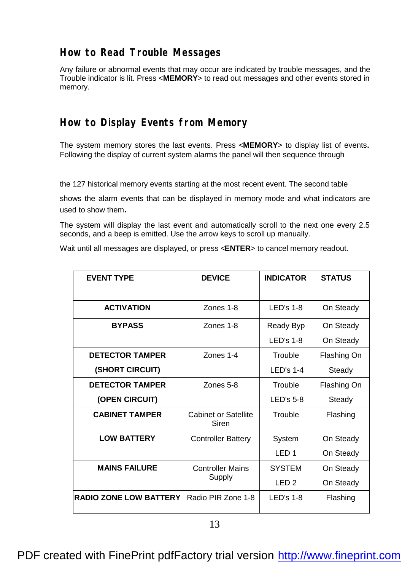## **How to Read Trouble Messages**

Any failure or abnormal events that may occur are indicated by trouble messages, and the Trouble indicator is lit. Press <**MEMORY**> to read out messages and other events stored in memory.

## **How to Display Events from Memory**

The system memory stores the last events. Press <**MEMORY**> to display list of events. Following the display of current system alarms the panel will then sequence through

the 127 historical memory events starting at the most recent event. The second table

shows the alarm events that can be displayed in memory mode and what indicators are used to show them.

The system will display the last event and automatically scroll to the next one every 2.5 seconds, and a beep is emitted. Use the arrow keys to scroll up manually.

Wait until all messages are displayed, or press <**ENTER**> to cancel memory readout.

| <b>EVENT TYPE</b>             | <b>DEVICE</b>                        | <b>INDICATOR</b> | <b>STATUS</b> |
|-------------------------------|--------------------------------------|------------------|---------------|
|                               |                                      |                  |               |
| <b>ACTIVATION</b>             | Zones 1-8                            | $LED's 1-8$      | On Steady     |
| <b>BYPASS</b>                 | Zones 1-8                            | Ready Byp        | On Steady     |
|                               |                                      | I FD's 1-8       | On Steady     |
| <b>DETECTOR TAMPER</b>        | <b>Zones 1-4</b>                     | Trouble          | Flashing On   |
| (SHORT CIRCUIT)               |                                      | $LED's 1-4$      | Steady        |
| <b>DETECTOR TAMPER</b>        | Zones 5-8                            | Trouble          | Flashing On   |
| (OPEN CIRCUIT)                |                                      | $LED's 5-8$      | Steady        |
| <b>CABINET TAMPER</b>         | <b>Cabinet or Satellite</b><br>Siren | Trouble          | Flashing      |
| <b>LOW BATTERY</b>            | <b>Controller Battery</b>            | System           | On Steady     |
|                               |                                      | IFD1             | On Steady     |
| <b>MAINS FAILURE</b>          | <b>Controller Mains</b>              | <b>SYSTEM</b>    | On Steady     |
|                               | Supply                               | IFD2             | On Steady     |
| <b>RADIO ZONE LOW BATTERY</b> | Radio PIR Zone 1-8                   | $LED's 1-8$      | Flashing      |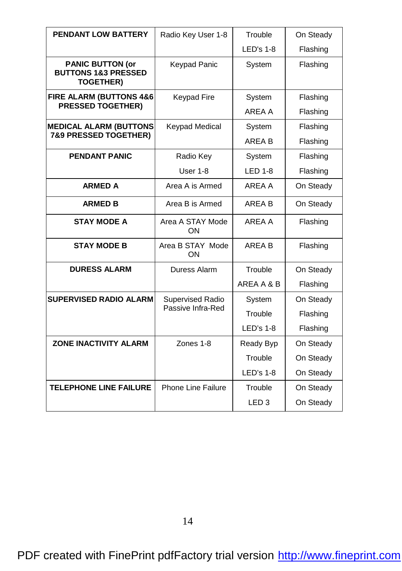| <b>PENDANT LOW BATTERY</b>                                                    | Radio Key User 1-8      | Trouble           | On Steady |
|-------------------------------------------------------------------------------|-------------------------|-------------------|-----------|
|                                                                               |                         | $LED's 1-8$       | Flashing  |
| <b>PANIC BUTTON (or</b><br><b>BUTTONS 1&amp;3 PRESSED</b><br><b>TOGETHER)</b> | <b>Keypad Panic</b>     | System            | Flashing  |
| <b>FIRE ALARM (BUTTONS 4&amp;6</b>                                            | <b>Keypad Fire</b>      | System            | Flashing  |
| <b>PRESSED TOGETHER)</b>                                                      |                         | ARFA A            | Flashing  |
| <b>MEDICAL ALARM (BUTTONS</b>                                                 | <b>Keypad Medical</b>   | System            | Flashing  |
| <b>7&amp;9 PRESSED TOGETHER)</b>                                              |                         | AREA B            | Flashing  |
| <b>PENDANT PANIC</b>                                                          | Radio Key               | System            | Flashing  |
|                                                                               | User 1-8                | <b>LED 1-8</b>    | Flashing  |
| <b>ARMED A</b>                                                                | Area A is Armed         | AREA A            | On Steady |
| <b>ARMED B</b>                                                                | Area B is Armed         | ARFA <sub>B</sub> | On Steady |
| <b>STAY MODE A</b>                                                            | Area A STAY Mode<br>ΩN  | AREA A            | Flashing  |
| <b>STAY MODE B</b>                                                            | Area B STAY Mode<br>ON  | ARFA B            | Flashing  |
| <b>DURESS ALARM</b>                                                           | Duress Alarm            | Trouble           | On Steady |
|                                                                               |                         | AREA A & B        | Flashing  |
| <b>SUPERVISED RADIO ALARM</b>                                                 | <b>Supervised Radio</b> | System            | On Steady |
|                                                                               | Passive Infra-Red       | Trouble           | Flashing  |
|                                                                               |                         | $LED's 1-8$       | Flashing  |
| <b>ZONE INACTIVITY ALARM</b>                                                  | Zones 1-8               | Ready Byp         | On Steady |
|                                                                               |                         | Trouble           | On Steady |
|                                                                               |                         | LED's 1-8         | On Steady |
| <b>TELEPHONE LINE FAILURE</b>                                                 | Phone Line Failure      | Trouble           | On Steady |
|                                                                               |                         | LED <sub>3</sub>  | On Steady |

PDF created with FinePrint pdfFactory trial version <http://www.fineprint.com>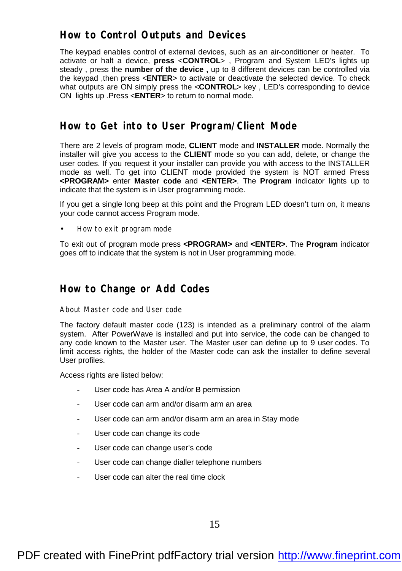#### **How to Control Outputs and Devices**

The keypad enables control of external devices, such as an air-conditioner or heater. To activate or halt a device, **press** <**CONTROL**> , Program and System LED's lights up steady , press the **number of the device ,** up to 8 different devices can be controlled via the keypad ,then press <**ENTER**> to activate or deactivate the selected device. To check what outputs are ON simply press the <**CONTROL**> key , LED's corresponding to device ON lights up .Press <**ENTER**> to return to normal mode.

#### **How to Get into to User Program/Client Mode**

There are 2 levels of program mode, **CLIENT** mode and **INSTALLER** mode. Normally the installer will give you access to the **CLIENT** mode so you can add, delete, or change the user codes. If you request it your installer can provide you with access to the INSTALLER mode as well. To get into CLIENT mode provided the system is NOT armed Press **<PROGRAM>** enter **Master code** and **<ENTER>**. The **Program** indicator lights up to indicate that the system is in User programming mode.

If you get a single long beep at this point and the Program LED doesn't turn on, it means your code cannot access Program mode.

• How to exit program mode

To exit out of program mode press **<PROGRAM>** and **<ENTER>**. The **Program** indicator goes off to indicate that the system is not in User programming mode.

#### **How to Change or Add Codes**

About Master code and User code

The factory default master code (123) is intended as a preliminary control of the alarm system. After PowerWave is installed and put into service, the code can be changed to any code known to the Master user. The Master user can define up to 9 user codes. To limit access rights, the holder of the Master code can ask the installer to define several User profiles.

Access rights are listed below:

- User code has Area A and/or B permission
- User code can arm and/or disarm arm an area
- User code can arm and/or disarm arm an area in Stay mode
- User code can change its code
- User code can change user's code
- User code can change dialler telephone numbers
- User code can alter the real time clock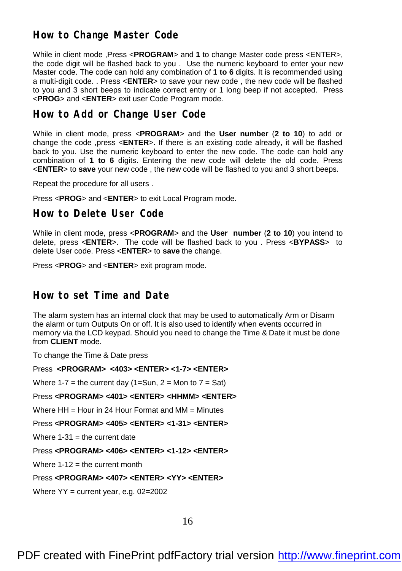## **How to Change Master Code**

While in client mode ,Press <**PROGRAM**> and **1** to change Master code press <ENTER>, the code digit will be flashed back to you . Use the numeric keyboard to enter your new Master code. The code can hold any combination of **1 to 6** digits. It is recommended using a multi-digit code. . Press <**ENTER**> to save your new code , the new code will be flashed to you and 3 short beeps to indicate correct entry or 1 long beep if not accepted. Press <**PROG**> and <**ENTER**> exit user Code Program mode.

#### **How to Add or Change User Code**

While in client mode, press <**PROGRAM**> and the **User number** (**2 to 10**) to add or change the code ,press <**ENTER**>. If there is an existing code already, it will be flashed back to you. Use the numeric keyboard to enter the new code. The code can hold any combination of **1 to 6** digits. Entering the new code will delete the old code. Press <**ENTER**> to **save** your new code , the new code will be flashed to you and 3 short beeps.

Repeat the procedure for all users .

Press <**PROG**> and <**ENTER**> to exit Local Program mode.

#### **How to Delete User Code**

While in client mode, press <**PROGRAM**> and the **User number** (**2 to 10**) you intend to delete, press <**ENTER**>. The code will be flashed back to you . Press <**BYPASS**> to delete User code. Press <**ENTER**> to **save** the change.

Press <**PROG**> and <**ENTER**> exit program mode.

#### **How to set Time and Date**

The alarm system has an internal clock that may be used to automatically Arm or Disarm the alarm or turn Outputs On or off. It is also used to identify when events occurred in memory via the LCD keypad. Should you need to change the Time & Date it must be done from **CLIENT** mode.

To change the Time & Date press

Press **<PROGRAM> <403> <ENTER> <1-7> <ENTER>**

Where  $1-7$  = the current day (1=Sun,  $2 =$  Mon to  $7 =$  Sat)

#### Press **<PROGRAM> <401> <ENTER> <HHMM> <ENTER>**

Where  $HH =$  Hour in 24 Hour Format and MM  $=$  Minutes

#### Press **<PROGRAM> <405> <ENTER> <1-31> <ENTER>**

Where  $1-31$  = the current date

#### Press **<PROGRAM> <406> <ENTER> <1-12> <ENTER>**

Where  $1-12$  = the current month

#### Press **<PROGRAM> <407> <ENTER> <YY> <ENTER>**

Where  $YY =$  current year, e.g. 02=2002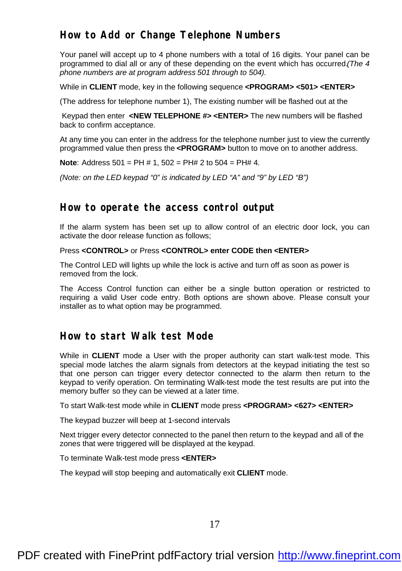## **How to Add or Change Telephone Numbers**

Your panel will accept up to 4 phone numbers with a total of 16 digits. Your panel can be programmed to dial all or any of these depending on the event which has occurred.*(The 4 phone numbers are at program address 501 through to 504).*

While in **CLIENT** mode, key in the following sequence **<PROGRAM> <501> <ENTER>**

(The address for telephone number 1), The existing number will be flashed out at the

 Keypad then enter **<NEW TELEPHONE #> <ENTER>** The new numbers will be flashed back to confirm acceptance.

At any time you can enter in the address for the telephone number just to view the currently programmed value then press the **<PROGRAM>** button to move on to another address.

**Note**: Address 501 = PH # 1, 502 = PH# 2 to 504 = PH# 4.

*(Note: on the LED keypad "0" is indicated by LED "A" and "9" by LED "B")*

#### **How to operate the access control output**

If the alarm system has been set up to allow control of an electric door lock, you can activate the door release function as follows;

#### Press **<CONTROL>** or Press **<CONTROL> enter CODE then <ENTER>**

The Control LED will lights up while the lock is active and turn off as soon as power is removed from the lock.

The Access Control function can either be a single button operation or restricted to requiring a valid User code entry. Both options are shown above. Please consult your installer as to what option may be programmed.

#### **How to start Walk test Mode**

While in **CLIENT** mode a User with the proper authority can start walk-test mode. This special mode latches the alarm signals from detectors at the keypad initiating the test so that one person can trigger every detector connected to the alarm then return to the keypad to verify operation. On terminating Walk-test mode the test results are put into the memory buffer so they can be viewed at a later time.

To start Walk-test mode while in **CLIENT** mode press **<PROGRAM> <627> <ENTER>**

The keypad buzzer will beep at 1-second intervals

Next trigger every detector connected to the panel then return to the keypad and all of the zones that were triggered will be displayed at the keypad.

To terminate Walk-test mode press **<ENTER>**

The keypad will stop beeping and automatically exit **CLIENT** mode.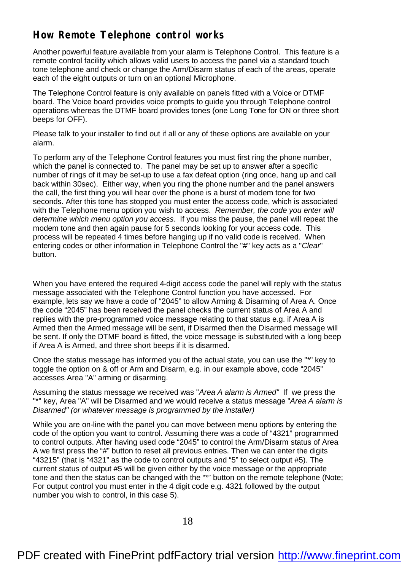# **How Remote Telephone control works**

Another powerful feature available from your alarm is Telephone Control. This feature is a remote control facility which allows valid users to access the panel via a standard touch tone telephone and check or change the Arm/Disarm status of each of the areas, operate each of the eight outputs or turn on an optional Microphone.

The Telephone Control feature is only available on panels fitted with a Voice or DTMF board. The Voice board provides voice prompts to guide you through Telephone control operations whereas the DTMF board provides tones (one Long Tone for ON or three short beeps for OFF).

Please talk to your installer to find out if all or any of these options are available on your alarm.

To perform any of the Telephone Control features you must first ring the phone number, which the panel is connected to. The panel may be set up to answer after a specific number of rings of it may be set-up to use a fax defeat option (ring once, hang up and call back within 30sec). Either way, when you ring the phone number and the panel answers the call, the first thing you will hear over the phone is a burst of modem tone for two seconds. After this tone has stopped you must enter the access code, which is associated with the Telephone menu option you wish to access. *Remember, the code you enter will determine which menu option you access*. If you miss the pause, the panel will repeat the modem tone and then again pause for 5 seconds looking for your access code. This process will be repeated 4 times before hanging up if no valid code is received. When entering codes or other information in Telephone Control the "#" key acts as a "*Clear*" button.

When you have entered the required 4-digit access code the panel will reply with the status message associated with the Telephone Control function you have accessed. For example, lets say we have a code of "2045" to allow Arming & Disarming of Area A. Once the code "2045" has been received the panel checks the current status of Area A and replies with the pre-programmed voice message relating to that status e.g. if Area A is Armed then the Armed message will be sent, if Disarmed then the Disarmed message will be sent. If only the DTMF board is fitted, the voice message is substituted with a long beep if Area A is Armed, and three short beeps if it is disarmed.

Once the status message has informed you of the actual state, you can use the "\*" key to toggle the option on & off or Arm and Disarm, e.g. in our example above, code "2045" accesses Area "A" arming or disarming.

Assuming the status message we received was "*Area A alarm is Armed"* If we press the "\*" key, Area "A" will be Disarmed and we would receive a status message "*Area A alarm is Disarmed" (or whatever message is programmed by the installer)*

While you are on-line with the panel you can move between menu options by entering the code of the option you want to control. Assuming there was a code of "4321" programmed to control outputs. After having used code "2045" to control the Arm/Disarm status of Area A we first press the "#" button to reset all previous entries. Then we can enter the digits "43215" (that is "4321" as the code to control outputs and "5" to select output #5). The current status of output #5 will be given either by the voice message or the appropriate tone and then the status can be changed with the "\*" button on the remote telephone (Note; For output control you must enter in the 4 digit code e.g. 4321 followed by the output number you wish to control, in this case 5).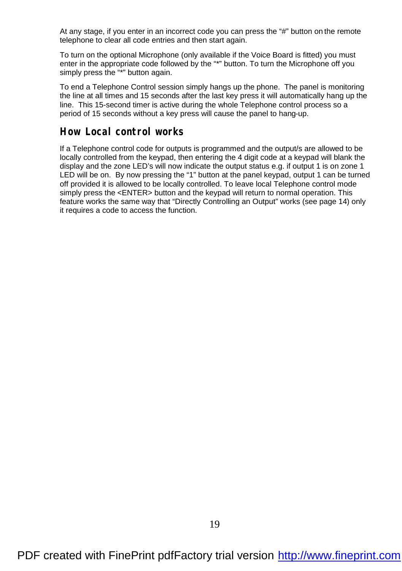At any stage, if you enter in an incorrect code you can press the "#" button on the remote telephone to clear all code entries and then start again.

To turn on the optional Microphone (only available if the Voice Board is fitted) you must enter in the appropriate code followed by the "\*" button. To turn the Microphone off you simply press the "\*" button again.

To end a Telephone Control session simply hangs up the phone. The panel is monitoring the line at all times and 15 seconds after the last key press it will automatically hang up the line. This 15-second timer is active during the whole Telephone control process so a period of 15 seconds without a key press will cause the panel to hang-up.

#### **How Local control works**

If a Telephone control code for outputs is programmed and the output/s are allowed to be locally controlled from the keypad, then entering the 4 digit code at a keypad will blank the display and the zone LED's will now indicate the output status e.g. if output 1 is on zone 1 LED will be on. By now pressing the "1" button at the panel keypad, output 1 can be turned off provided it is allowed to be locally controlled. To leave local Telephone control mode simply press the <ENTER> button and the keypad will return to normal operation. This feature works the same way that "Directly Controlling an Output" works (see page 14) only it requires a code to access the function.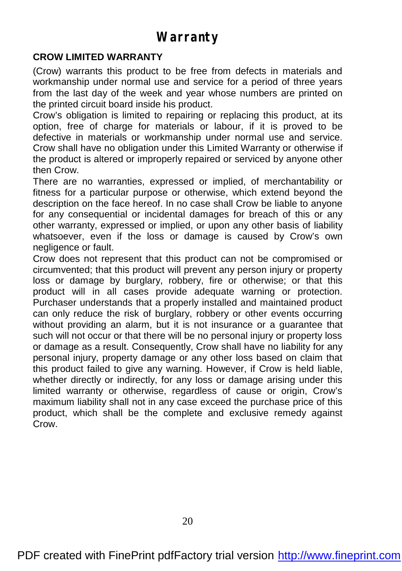# **Warranty**

#### **CROW LIMITED WARRANTY**

(Crow) warrants this product to be free from defects in materials and workmanship under normal use and service for a period of three years from the last day of the week and year whose numbers are printed on the printed circuit board inside his product.

Crow's obligation is limited to repairing or replacing this product, at its option, free of charge for materials or labour, if it is proved to be defective in materials or workmanship under normal use and service. Crow shall have no obligation under this Limited Warranty or otherwise if the product is altered or improperly repaired or serviced by anyone other then Crow.

There are no warranties, expressed or implied, of merchantability or fitness for a particular purpose or otherwise, which extend beyond the description on the face hereof. In no case shall Crow be liable to anyone for any consequential or incidental damages for breach of this or any other warranty, expressed or implied, or upon any other basis of liability whatsoever, even if the loss or damage is caused by Crow's own negligence or fault.

Crow does not represent that this product can not be compromised or circumvented; that this product will prevent any person injury or property loss or damage by burglary, robbery, fire or otherwise; or that this product will in all cases provide adequate warning or protection. Purchaser understands that a properly installed and maintained product can only reduce the risk of burglary, robbery or other events occurring without providing an alarm, but it is not insurance or a guarantee that such will not occur or that there will be no personal injury or property loss or damage as a result. Consequently, Crow shall have no liability for any personal injury, property damage or any other loss based on claim that this product failed to give any warning. However, if Crow is held liable, whether directly or indirectly, for any loss or damage arising under this limited warranty or otherwise, regardless of cause or origin, Crow's maximum liability shall not in any case exceed the purchase price of this product, which shall be the complete and exclusive remedy against Crow.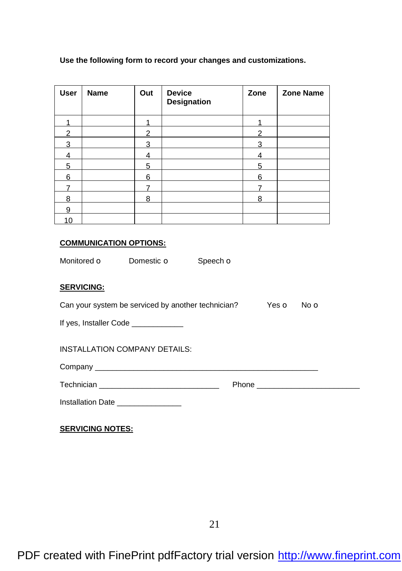#### **Use the following form to record your changes and customizations.**

| <b>User</b> | <b>Name</b> | Out | <b>Device</b><br>Designation | Zone | <b>Zone Name</b> |
|-------------|-------------|-----|------------------------------|------|------------------|
|             |             |     |                              |      |                  |
| 2           |             | 2   |                              | 2    |                  |
| 3           |             | 3   |                              | 3    |                  |
| 4           |             | 4   |                              | 4    |                  |
| 5           |             | 5   |                              | 5    |                  |
| 6           |             | 6   |                              | 6    |                  |
|             |             |     |                              |      |                  |
| 8           |             | 8   |                              | 8    |                  |
| 9           |             |     |                              |      |                  |
| 10          |             |     |                              |      |                  |

#### **COMMUNICATION OPTIONS:**

Monitored o Domestic o Speech o

#### **SERVICING:**

| Can your system be serviced by another technician? | Yes <b>O</b> No <b>O</b> |  |
|----------------------------------------------------|--------------------------|--|
| If yes, Installer Code                             |                          |  |
| INSTALLATION COMPANY DETAILS:                      |                          |  |

Company \_\_\_\_\_\_\_\_\_\_\_\_\_\_\_\_\_\_\_\_\_\_\_\_\_\_\_\_\_\_\_\_\_\_\_\_\_\_\_\_\_\_\_\_\_\_\_\_\_\_\_\_

| Technician | 'hone |
|------------|-------|
|------------|-------|

Installation Date \_\_\_\_\_\_\_\_\_\_\_\_\_\_\_

**SERVICING NOTES:**